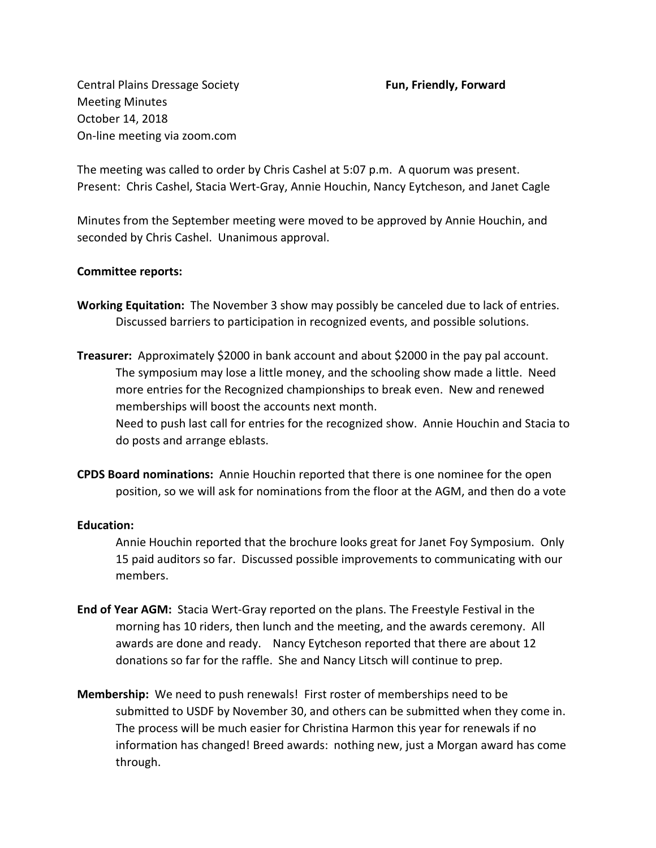Central Plains Dressage Society **Fun, Friendly, Forward**  Meeting Minutes October 14, 2018 On-line meeting via zoom.com

The meeting was called to order by Chris Cashel at 5:07 p.m. A quorum was present. Present: Chris Cashel, Stacia Wert-Gray, Annie Houchin, Nancy Eytcheson, and Janet Cagle

Minutes from the September meeting were moved to be approved by Annie Houchin, and seconded by Chris Cashel. Unanimous approval.

## **Committee reports:**

- **Working Equitation:** The November 3 show may possibly be canceled due to lack of entries. Discussed barriers to participation in recognized events, and possible solutions.
- **Treasurer:** Approximately \$2000 in bank account and about \$2000 in the pay pal account. The symposium may lose a little money, and the schooling show made a little. Need more entries for the Recognized championships to break even. New and renewed memberships will boost the accounts next month. Need to push last call for entries for the recognized show. Annie Houchin and Stacia to do posts and arrange eblasts.
- **CPDS Board nominations:** Annie Houchin reported that there is one nominee for the open position, so we will ask for nominations from the floor at the AGM, and then do a vote

## **Education:**

Annie Houchin reported that the brochure looks great for Janet Foy Symposium. Only 15 paid auditors so far. Discussed possible improvements to communicating with our members.

- **End of Year AGM:** Stacia Wert-Gray reported on the plans. The Freestyle Festival in the morning has 10 riders, then lunch and the meeting, and the awards ceremony. All awards are done and ready. Nancy Eytcheson reported that there are about 12 donations so far for the raffle. She and Nancy Litsch will continue to prep.
- **Membership:** We need to push renewals! First roster of memberships need to be submitted to USDF by November 30, and others can be submitted when they come in. The process will be much easier for Christina Harmon this year for renewals if no information has changed! Breed awards: nothing new, just a Morgan award has come through.